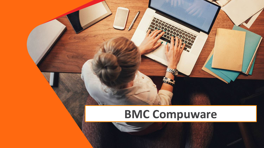# **BMC Compuware**

© Copyright 2022 BMC Software, Inc. 1999. The Copyright 2022 BMC Software, Inc. 2022 BMC Software, Inc. 2022 B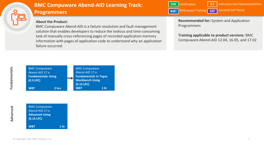

# **Programmers BMC Compuware Abend-AID Learning Track:**

## **About the Product:**

BMC Compuware Abend-AID is a failure resolution and fault management solution that enables developers to reduce the tedious and time-consuming task of manually cross-referencing pages of recorded application memory information with pages of application code to understand why an application failure occurred.



**Recommended for:** System and Application Programmers

**Training applicable to product versions**: BMC Compuware Abend-AID 12.04, 16.05, and 17.02



[BMC Compuware](https://www.bmc.com/education/courses/bmc-compuware-abend-aid-17x-advanced-using-wbt.html)  Abend-AID 17.x: **Advanced Using (0.15 LPC)**

**WBT 1 hr** 

**Fundamentals**

Fundamentals

| <b>BMC Compuware</b><br>Abend-AID 17.x:<br><b>Fundamentals Using</b> |       |  | <b>BMC Compuware</b><br>Abend-AID 17.x:<br><b>Fundamentals in Topaz</b> |                 |
|----------------------------------------------------------------------|-------|--|-------------------------------------------------------------------------|-----------------|
| $(0.3$ LPC $)$                                                       |       |  | <b>Workbench Using</b><br>$(0.15$ LPC $)$                               |                 |
| <b>WBT</b>                                                           | 2 hrs |  | <b>WBT</b>                                                              | 1 <sub>hr</sub> |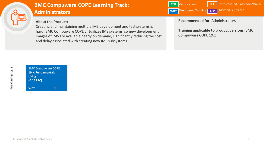

# **Administrators BMC Compuware COPE Learning Track:**

## **About the Product:**

Creating and maintaining multiple IMS development and test systems is hard. BMC Compuware COPE virtualizes IMS systems, so new development images of IMS are available nearly on demand, significantly reducing the cost and delay associated with creating new IMS subsystems.

Certification **CER WBT** Web-based Training **ASP ILT** | Instructor-led Classroom/Online Assisted Self Paced

#### **Recommended for:** Administrators

**Training applicable to product versions**: BMC Compuware COPE 19.x

| <b>BMC Compuware COPE</b>     |
|-------------------------------|
| 19.x: Fundamentals            |
| <b>Using</b>                  |
| $(0.15$ LPC)                  |
|                               |
| 1 <sub>hr</sub><br><b>WBT</b> |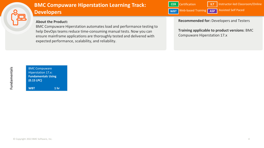

# **B B B Developers BMC Compuware Hiperstation Learning Track:**

## **About the Product:**

BMC Compuware Hiperstation automates load and performance testing to help DevOps teams reduce time-consuming manual tests. Now you can ensure mainframe applications are thoroughly tested and delivered with expected performance, scalability, and reliability.

Certification **CER WBT** Web-based Training **ASP ILT** | Instructor-led Classroom/Online Assisted Self Paced

**Recommended for:** Developers and Testers

**Training applicable to product versions**: BMC Compuware Hiperstation 17.x

BMC Compuware Hiperstation 17.x: **[Fundamentals Using](https://www.bmc.com/education/courses/bmc-compuware-abend-aid-17x-fundamentals-using-wbt.html) (0.15 LPC) WBT 1 hr**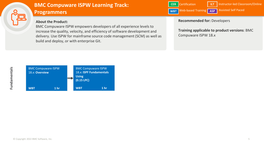

# **Programmers BMC Compuware ISPW Learning Track:**

## **About the Product:**

BMC Compuware ISPW empowers developers of all experience levels to increase the quality, velocity, and efficiency of software development and delivery. Use ISPW for mainframe source code management (SCM) as well as build and deploy, or with enterprise Git.

Certification **CER WBT** Web-based Training **ASP ILT** | Instructor-led Classroom/Online Assisted Self Paced

#### **Recommended for:** Developers

**Training applicable to product versions**: BMC Compuware ISPW 18.x



**Fundamentals**

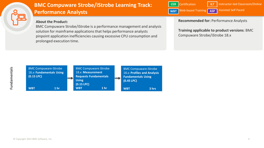

# **Performance Analysts BMC Compuware Strobe/iStrobe Learning Track:**

#### **About the Product:**

BMC Compuware Strobe/iStrobe is a performance management and analysis solution for mainframe applications that helps performance analysts pinpoint application inefficiencies causing excessive CPU consumption and prolonged execution time.

Certification **CER Web-based Training ASP ILT** | Instructor-led Classroom/Online Assisted Self Paced **WBT**

**Recommended for:** Performance Analysts

**Training applicable to product versions**: BMC Compuware Strobe/iStrobe 18.x

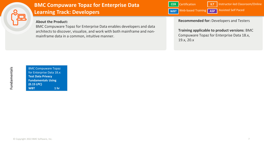

BMC Compuware Topaz [for Enterprise Data 18.x:](https://www.bmc.com/education/courses/bmc-compuware-abend-aid-17x-fundamentals-using-wbt.html)  **Test Data Privacy Fundamentals Using (0.15 LPC) WBT 1 hr**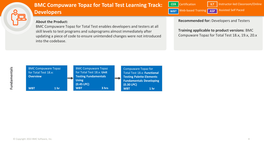

# **B B B Developers BMC Compuware Topaz for Total Test Learning Track:**

#### **About the Product:**

BMC Compuware Topaz for Total Test enables developers and testers at all skill levels to test programs and subprograms almost immediately after updating a piece of code to ensure unintended changes were not introduced into the codebase.

**Recommended for:** Developers and Testers

**Training applicable to product versions**: BMC Compuware Topaz for Total Test 18.x, 19.x, 20.x



**ILT** | Instructor-led Classroom/Online

**WBT** Web-based Training **ASP** Assisted Self Paced

Certification **CER**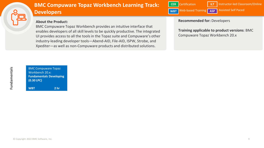

## **B B B Developers BMC Compuware Topaz Workbench Learning Track:**

#### **About the Product:**

BMC Compuware Topaz Workbench provides an intuitive interface that enables developers of all skill levels to be quickly productive. The integrated UI provides access to all the tools in the Topaz suite and Compuware's other industry-leading developer tools—Abend-AID, File-AID, ISPW, Strobe, and Xpediter—as well as non-Compuware products and distributed solutions.

Certification **CER WBT** Web-based Training **ASP ILT** | Instructor-led Classroom/Online Assisted Self Paced

#### **Recommended for:** Developers

**Training applicable to product versions**: BMC Compuware Topaz Workbench 20.x

BMC Compuware Topaz Workbench 20.x: **[Fundamentals Developing](https://www.bmc.com/education/courses/bmc-compuware-abend-aid-17x-fundamentals-using-wbt.html) (0.30 LPC) WBT 2 hr**